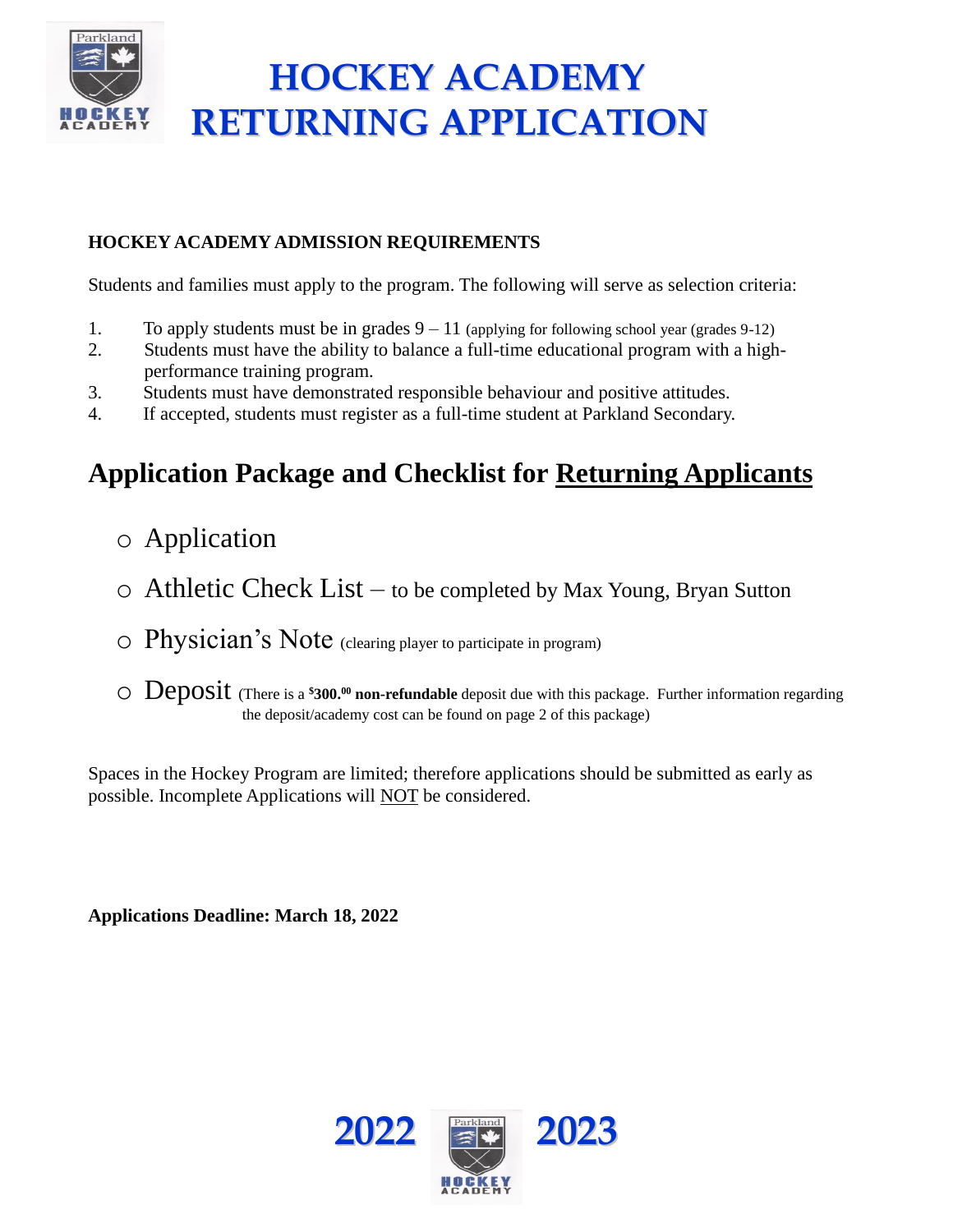

# **HOCKEY ACADEMY RETURNING APPLICATION**

### **HOCKEY ACADEMY ADMISSION REQUIREMENTS**

Students and families must apply to the program. The following will serve as selection criteria:

- 1. To apply students must be in grades  $9 11$  (applying for following school year (grades 9-12)
- 2. Students must have the ability to balance a full-time educational program with a highperformance training program.
- 3. Students must have demonstrated responsible behaviour and positive attitudes.
- 4. If accepted, students must register as a full-time student at Parkland Secondary.

# **Application Package and Checklist for Returning Applicants**

- o Application
- $\circ$  Athletic Check List to be completed by Max Young, Bryan Sutton
- $\circ$  Physician's Note (clearing player to participate in program)
- o Deposit (There is a **\$300.<sup>00</sup> non-refundable** deposit due with this package. Further information regarding the deposit/academy cost can be found on page 2 of this package)

Spaces in the Hockey Program are limited; therefore applications should be submitted as early as possible. Incomplete Applications will NOT be considered.

**Applications Deadline: March 18, 2022**

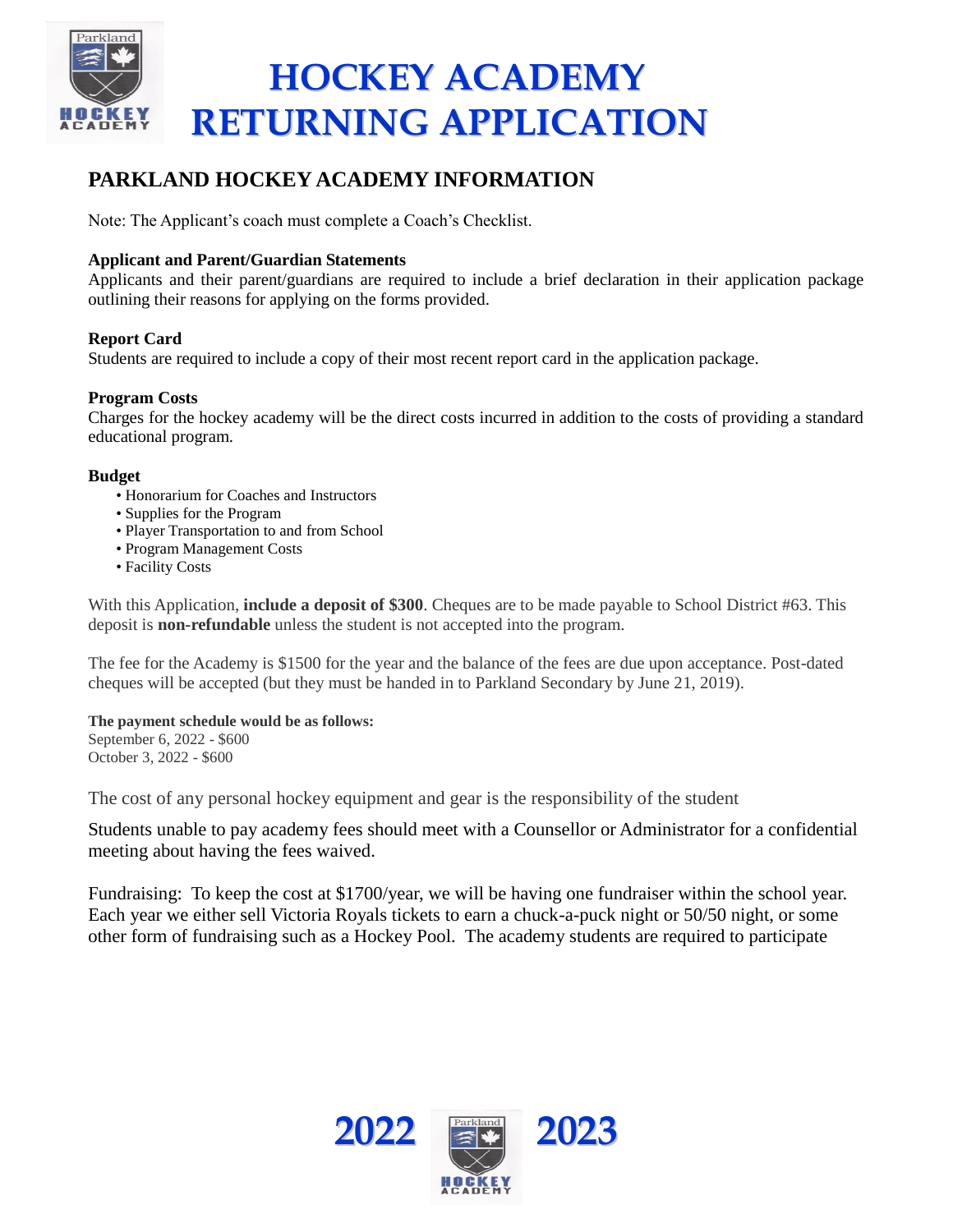

### **PARKLAND HOCKEY ACADEMY INFORMATION**

Note: The Applicant's coach must complete a Coach's Checklist.

### **Applicant and Parent/Guardian Statements**

Applicants and their parent/guardians are required to include a brief declaration in their application package outlining their reasons for applying on the forms provided.

### **Report Card**

Students are required to include a copy of their most recent report card in the application package.

### **Program Costs**

Charges for the hockey academy will be the direct costs incurred in addition to the costs of providing a standard educational program.

#### **Budget**

- Honorarium for Coaches and Instructors
- Supplies for the Program
- Player Transportation to and from School
- Program Management Costs
- Facility Costs

With this Application, **include a deposit of \$300**. Cheques are to be made payable to School District #63. This deposit is **non-refundable** unless the student is not accepted into the program.

The fee for the Academy is \$1500 for the year and the balance of the fees are due upon acceptance. Post-dated cheques will be accepted (but they must be handed in to Parkland Secondary by June 21, 2019).

#### **The payment schedule would be as follows:**

September 6, 2022 - \$600 October 3, 2022 - \$600

The cost of any personal hockey equipment and gear is the responsibility of the student

Students unable to pay academy fees should meet with a Counsellor or Administrator for a confidential meeting about having the fees waived.

Fundraising: To keep the cost at \$1700/year, we will be having one fundraiser within the school year. Each year we either sell Victoria Royals tickets to earn a chuck-a-puck night or 50/50 night, or some other form of fundraising such as a Hockey Pool. The academy students are required to participate

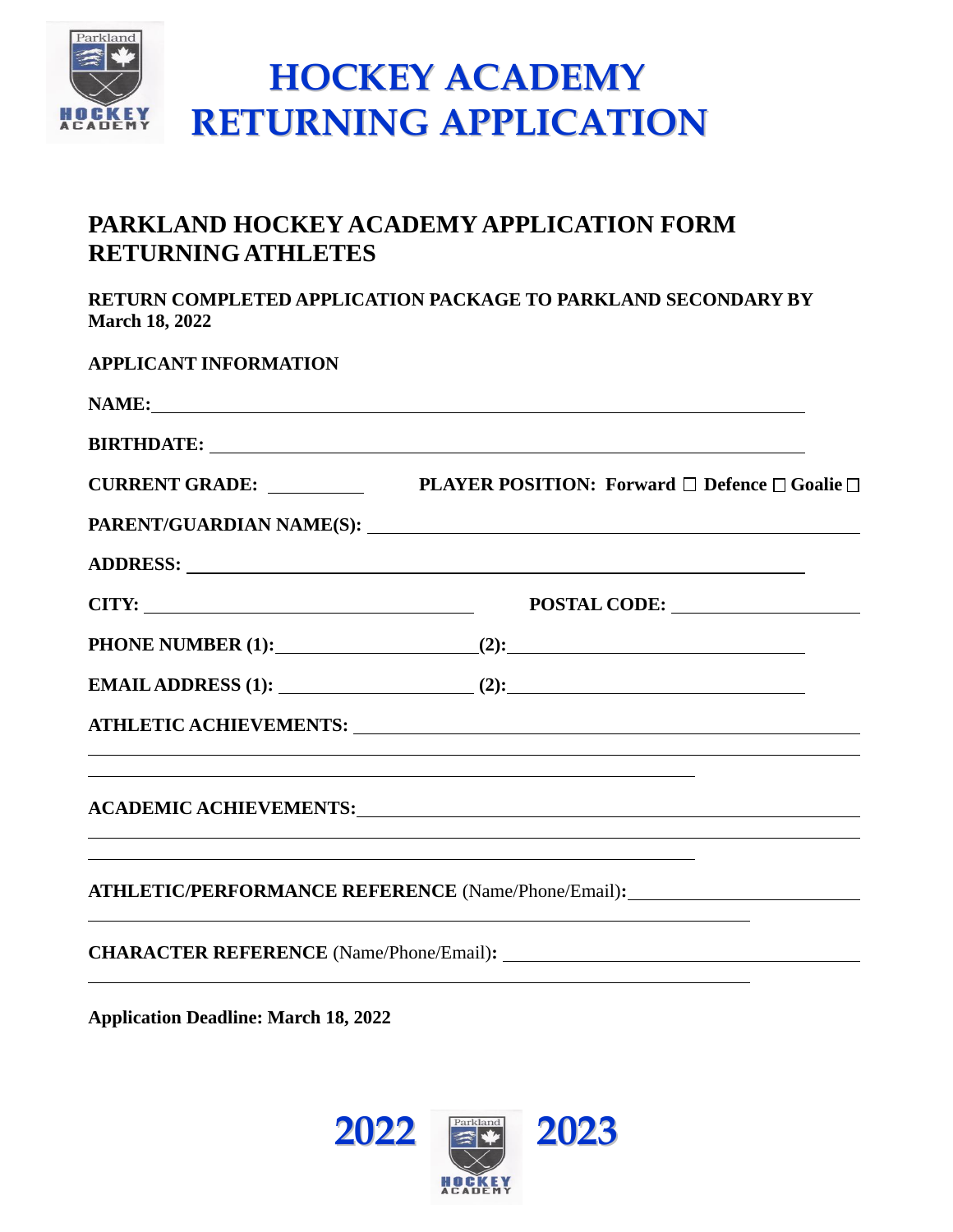

## **PARKLAND HOCKEY ACADEMY APPLICATION FORM RETURNING ATHLETES**

**RETURN COMPLETED APPLICATION PACKAGE TO PARKLAND SECONDARY BY March 18, 2022**

| <b>APPLICANT INFORMATION</b> |                                                                                                                                                                                                                                |
|------------------------------|--------------------------------------------------------------------------------------------------------------------------------------------------------------------------------------------------------------------------------|
|                              | NAME:                                                                                                                                                                                                                          |
|                              | BIRTHDATE: LETTERS AND THE SERIES OF THE SERIES OF THE SERIES OF THE SERIES OF THE SERIES OF THE SERIES OF THE SERIES OF THE SERIES OF THE SERIES OF THE SERIES OF THE SERIES OF THE SERIES OF THE SERIES OF THE SERIES OF THE |
|                              |                                                                                                                                                                                                                                |
|                              |                                                                                                                                                                                                                                |
|                              |                                                                                                                                                                                                                                |
|                              | CITY: POSTAL CODE: POSTAL CODE:                                                                                                                                                                                                |
|                              |                                                                                                                                                                                                                                |
|                              | EMAIL ADDRESS (1): $(2)$ : $(3)$                                                                                                                                                                                               |
|                              |                                                                                                                                                                                                                                |
|                              | <u> 1989 - Johann Barn, mars ann an t-Amhain ann an t-Amhain ann an t-Amhain ann an t-Amhain an t-Amhain ann an t-</u>                                                                                                         |
|                              |                                                                                                                                                                                                                                |
|                              | <u> 1989 - Johann Stoff, deutscher Stoffen und der Stoffen und der Stoffen und der Stoffen und der Stoffen und de</u>                                                                                                          |
|                              | ATHLETIC/PERFORMANCE REFERENCE (Name/Phone/Email):                                                                                                                                                                             |
|                              |                                                                                                                                                                                                                                |

**Application Deadline: March 18, 2022**

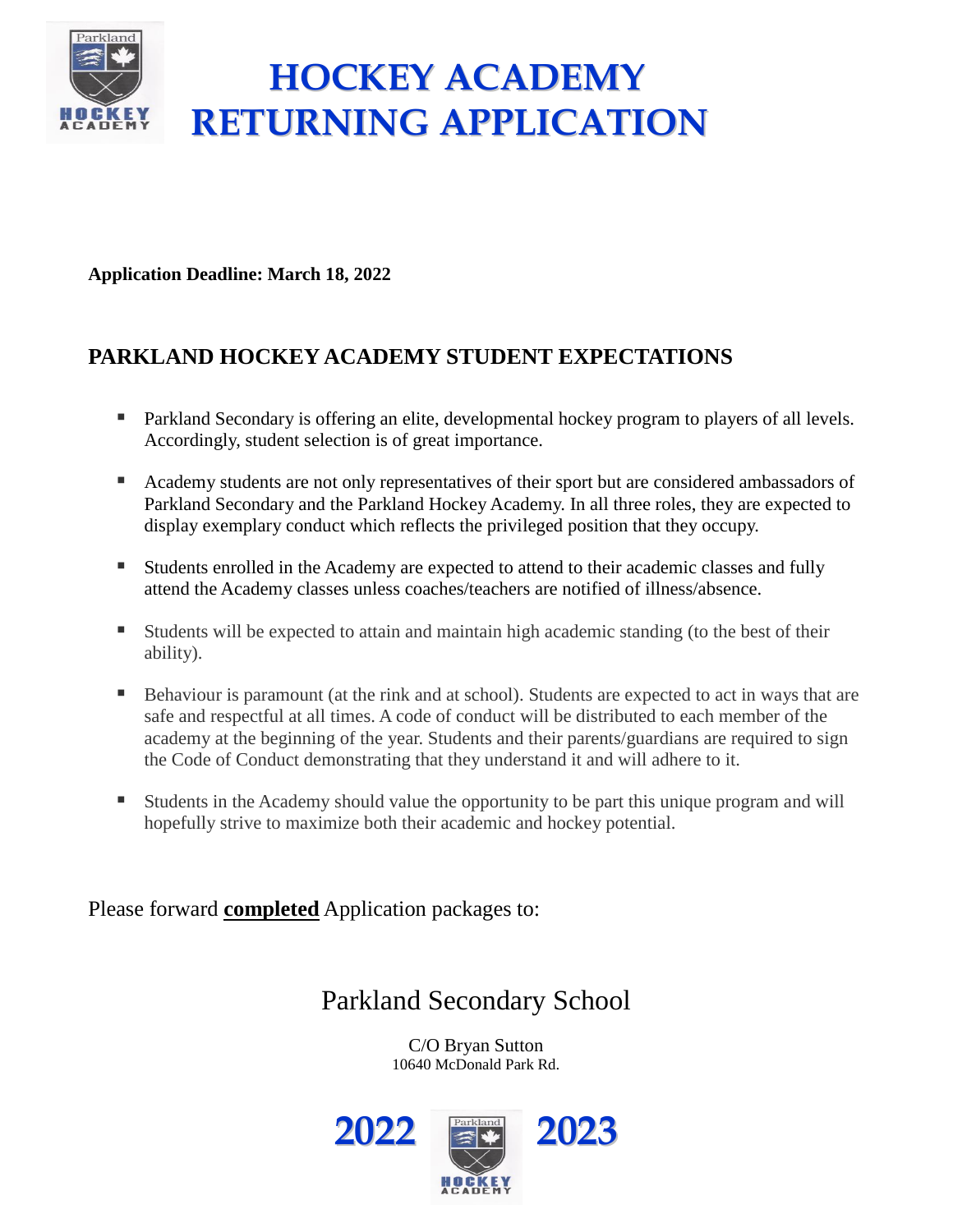

# **HOCKEY ACADEMY RETURNING APPLICATION**

**Application Deadline: March 18, 2022**

# **PARKLAND HOCKEY ACADEMY STUDENT EXPECTATIONS**

- Parkland Secondary is offering an elite, developmental hockey program to players of all levels. Accordingly, student selection is of great importance.
- Academy students are not only representatives of their sport but are considered ambassadors of Parkland Secondary and the Parkland Hockey Academy. In all three roles, they are expected to display exemplary conduct which reflects the privileged position that they occupy.
- Students enrolled in the Academy are expected to attend to their academic classes and fully attend the Academy classes unless coaches/teachers are notified of illness/absence.
- Students will be expected to attain and maintain high academic standing (to the best of their ability).
- **EXECUTE:** Behaviour is paramount (at the rink and at school). Students are expected to act in ways that are safe and respectful at all times. A code of conduct will be distributed to each member of the academy at the beginning of the year. Students and their parents/guardians are required to sign the Code of Conduct demonstrating that they understand it and will adhere to it.
- Students in the Academy should value the opportunity to be part this unique program and will hopefully strive to maximize both their academic and hockey potential.

Please forward **completed** Application packages to:

# Parkland Secondary School

C/O Bryan Sutton 10640 McDonald Park Rd.